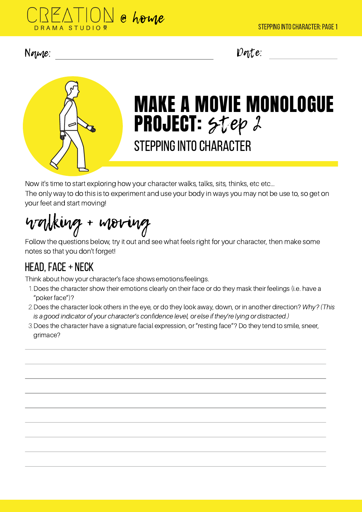



# MAKE A MOVIE MONOLOGUE PROJECT: Step 2 STEPPING INTO CHARACTER

Now it's time to start exploring how your character walks, talks, sits, thinks, etc etc... The only way to do this is to experiment and use your body in ways you may not be use to, so get on your feet and start moving!

walking + moving

Follow the questions below, try it out and see what feels right for your character, then make some notes so that you don't forget!

# head,face+ neck

Think about how your character's face shows emotions/feelings.

- 1. Does the character show their emotions clearly on their face or do they mask their feelings (i.e. have a "poker face")?
- 2. Does the character look others in the eye, or do they look away, down, or in another direction? Why? (This is a good indicator of your character's confidence level, or else if they're lying or distracted.)
- 3. Does the character have a signature facial expression, or "resting face"? Do they tend to smile, sneer, grimace?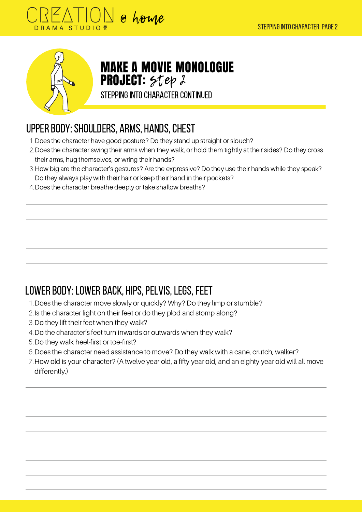



### MAKE A MOVIE MONOLOGUE **PROJECT:** Step 2

STEPPING INTO CHARACTER CONTINUED

#### UPPER BODY: SHOULDERS, ARMS, HANDS, CHEST

- Does the character have good posture? Do they stand up straight or slouch? 1.
- 2. Does the character swing their arms when they walk, or hold them tightly at their sides? Do they cross their arms, hug themselves, or wring their hands?
- 3. How big are the character's gestures? Are the expressive? Do they use their hands while they speak? Do they always play with their hair or keep their hand in their pockets?
- Does the character breathe deeply or take shallow breaths? 4.

# LOWER BODY: LOWER BACK, HIPS, PELVIS, LEGS, FEET

- Does the character move slowly or quickly? Why? Do they limp or stumble? 1.
- 2. Is the character light on their feet or do they plod and stomp along?
- 3. Do they lift their feet when they walk?
- 4. Do the character's feet turn inwards or outwards when they walk?
- 5. Do they walk heel-first or toe-first?
- Does the character need assistance to move? Do they walk with a cane, crutch, walker? 6.
- 7. How old is your character? (A twelve year old, a fifty year old, and an eighty year old will all move differently.)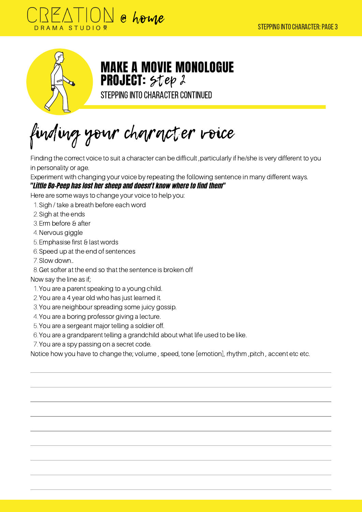



MAKE A MOVIE MONOLOGUE **PROJECT:** Step 2

STEPPING INTO CHARACTER CONTINUED

finding your character voice

Finding the correct voice to suit a character can be difficult ,particularly if he/she is very different to you in personality or age.

Experiment with changing your voice by repeating the following sentence in many different ways.

#### "Little Bo-Peep has lost her sheep and doesn't know where to find them"

Here are some ways to change your voice to help you:

- 1. Sigh / take a breath before each word
- 2. Sigh at the ends
- 3. Erm before & after
- 4. Nervous giggle
- Emphasise first & last words 5.
- 6. Speed up at the end of sentences
- 7. Slow down..
- 8. Get softer at the end so that the sentence is broken off

#### Now say the line as if;

- 1. You are a parent speaking to a young child.
- 2. You are a 4 year old who has just learned it.
- 3. You are neighbour spreading some juicy gossip.
- 4. You are a boring professor giving a lecture.
- You are a sergeant major telling a soldier off. 5.
- You are a grandparent telling a grandchild about what life used to be like. 6.
- 7. You are a spy passing on a secret code.

Notice how you have to change the; volume , speed, tone [emotion], rhythm ,pitch , accent etc etc.